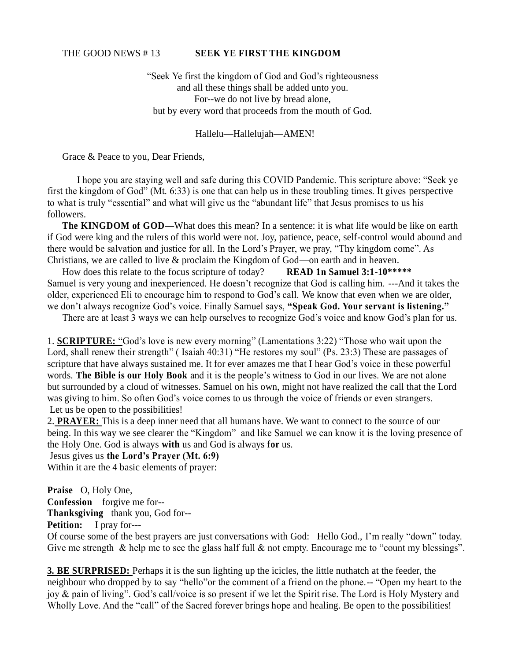## THE GOOD NEWS # 13 **SEEK YE FIRST THE KINGDOM**

"Seek Ye first the kingdom of God and God's righteousness and all these things shall be added unto you. For--we do not live by bread alone, but by every word that proceeds from the mouth of God.

Hallelu—Hallelujah—AMEN!

Grace & Peace to you, Dear Friends,

I hope you are staying well and safe during this COVID Pandemic. This scripture above: "Seek ye first the kingdom of God" (Mt. 6:33) is one that can help us in these troubling times. It gives perspective to what is truly "essential" and what will give us the "abundant life" that Jesus promises to us his followers.

**The KINGDOM of GOD—What does this mean?** In a sentence: it is what life would be like on earth if God were king and the rulers of this world were not. Joy, patience, peace, self-control would abound and there would be salvation and justice for all. In the Lord's Prayer, we pray, "Thy kingdom come". As Christians, we are called to live & proclaim the Kingdom of God—on earth and in heaven.

How does this relate to the focus scripture of today? **READ 1n Samuel 3:1-10\*\*\*\*\*** Samuel is very young and inexperienced. He doesn't recognize that God is calling him. ---And it takes the older, experienced Eli to encourage him to respond to God's call. We know that even when we are older, we don't always recognize God's voice. Finally Samuel says, **"Speak God. Your servant is listening."**

There are at least 3 ways we can help ourselves to recognize God's voice and know God's plan for us.

1. **SCRIPTURE:** "God's love is new every morning" (Lamentations 3:22) "Those who wait upon the Lord, shall renew their strength" (Isaiah 40:31) "He restores my soul" (Ps. 23:3) These are passages of scripture that have always sustained me. It for ever amazes me that I hear God's voice in these powerful words. **The Bible is our Holy Book** and it is the people's witness to God in our lives. We are not alone but surrounded by a cloud of witnesses. Samuel on his own, might not have realized the call that the Lord was giving to him. So often God's voice comes to us through the voice of friends or even strangers. Let us be open to the possibilities!

2. **PRAYER:** This is a deep inner need that all humans have. We want to connect to the source of our being. In this way we see clearer the "Kingdom" and like Samuel we can know it is the loving presence of the Holy One. God is always **with** us and God is always f**or** us.

Jesus gives us **the Lord's Prayer (Mt. 6:9)** 

Within it are the 4 basic elements of prayer:

**Praise** O, Holy One, **Confession** forgive me for--**Thanksgiving** thank you, God for--

**Petition:** I pray for---

Of course some of the best prayers are just conversations with God: Hello God., I'm really "down" today. Give me strength & help me to see the glass half full & not empty. Encourage me to "count my blessings".

**3. BE SURPRISED:** Perhaps it is the sun lighting up the icicles, the little nuthatch at the feeder, the neighbour who dropped by to say "hello"or the comment of a friend on the phone.-- "Open my heart to the joy & pain of living". God's call/voice is so present if we let the Spirit rise. The Lord is Holy Mystery and Wholly Love. And the "call" of the Sacred forever brings hope and healing. Be open to the possibilities!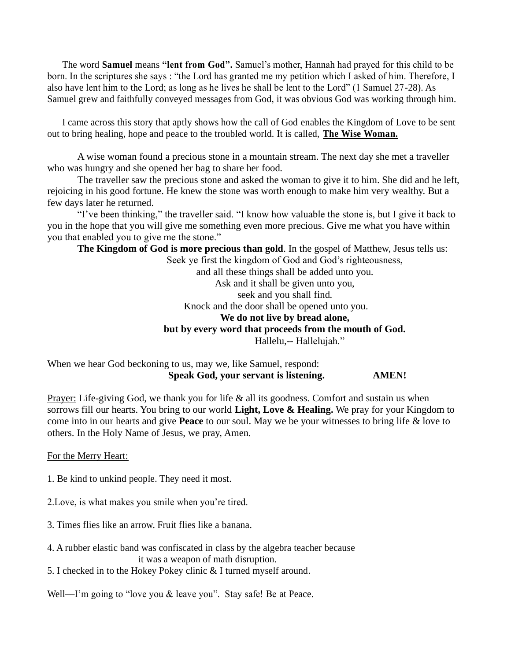The word **Samuel** means **"lent from God".** Samuel's mother, Hannah had prayed for this child to be born. In the scriptures she says : "the Lord has granted me my petition which I asked of him. Therefore, I also have lent him to the Lord; as long as he lives he shall be lent to the Lord" (1 Samuel 27-28). As Samuel grew and faithfully conveyed messages from God, it was obvious God was working through him.

I came across this story that aptly shows how the call of God enables the Kingdom of Love to be sent out to bring healing, hope and peace to the troubled world. It is called, **The Wise Woman.**

A wise woman found a precious stone in a mountain stream. The next day she met a traveller who was hungry and she opened her bag to share her food.

The traveller saw the precious stone and asked the woman to give it to him. She did and he left, rejoicing in his good fortune. He knew the stone was worth enough to make him very wealthy. But a few days later he returned.

"I've been thinking," the traveller said. "I know how valuable the stone is, but I give it back to you in the hope that you will give me something even more precious. Give me what you have within you that enabled you to give me the stone."

**The Kingdom of God is more precious than gold**. In the gospel of Matthew, Jesus tells us:

Seek ye first the kingdom of God and God's righteousness, and all these things shall be added unto you. Ask and it shall be given unto you, seek and you shall find. Knock and the door shall be opened unto you. **We do not live by bread alone, but by every word that proceeds from the mouth of God.**  Hallelu,-- Hallelujah."

When we hear God beckoning to us, may we, like Samuel, respond: **Speak God, your servant is listening. AMEN!**

Prayer: Life-giving God, we thank you for life & all its goodness. Comfort and sustain us when sorrows fill our hearts. You bring to our world **Light, Love & Healing.** We pray for your Kingdom to come into in our hearts and give **Peace** to our soul. May we be your witnesses to bring life & love to others. In the Holy Name of Jesus, we pray, Amen.

For the Merry Heart:

- 1. Be kind to unkind people. They need it most.
- 2.Love, is what makes you smile when you're tired.
- 3. Times flies like an arrow. Fruit flies like a banana.
- 4. A rubber elastic band was confiscated in class by the algebra teacher because it was a weapon of math disruption.
- 5. I checked in to the Hokey Pokey clinic & I turned myself around.

Well—I'm going to "love you & leave you". Stay safe! Be at Peace.